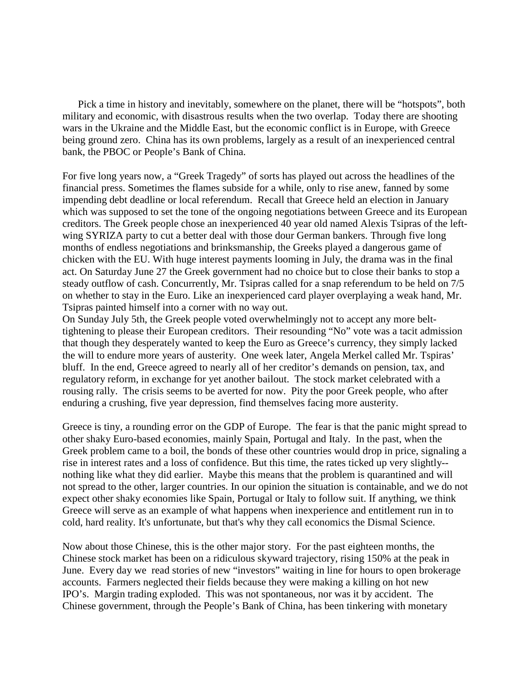Pick a time in history and inevitably, somewhere on the planet, there will be "hotspots", both military and economic, with disastrous results when the two overlap. Today there are shooting wars in the Ukraine and the Middle East, but the economic conflict is in Europe, with Greece being ground zero. China has its own problems, largely as a result of an inexperienced central bank, the PBOC or People's Bank of China.

For five long years now, a "Greek Tragedy" of sorts has played out across the headlines of the financial press. Sometimes the flames subside for a while, only to rise anew, fanned by some impending debt deadline or local referendum. Recall that Greece held an election in January which was supposed to set the tone of the ongoing negotiations between Greece and its European creditors. The Greek people chose an inexperienced 40 year old named Alexis Tsipras of the leftwing SYRIZA party to cut a better deal with those dour German bankers. Through five long months of endless negotiations and brinksmanship, the Greeks played a dangerous game of chicken with the EU. With huge interest payments looming in July, the drama was in the final act. On Saturday June 27 the Greek government had no choice but to close their banks to stop a steady outflow of cash. Concurrently, Mr. Tsipras called for a snap referendum to be held on 7/5 on whether to stay in the Euro. Like an inexperienced card player overplaying a weak hand, Mr. Tsipras painted himself into a corner with no way out.

On Sunday July 5th, the Greek people voted overwhelmingly not to accept any more belttightening to please their European creditors. Their resounding "No" vote was a tacit admission that though they desperately wanted to keep the Euro as Greece's currency, they simply lacked the will to endure more years of austerity. One week later, Angela Merkel called Mr. Tspiras' bluff. In the end, Greece agreed to nearly all of her creditor's demands on pension, tax, and regulatory reform, in exchange for yet another bailout. The stock market celebrated with a rousing rally. The crisis seems to be averted for now. Pity the poor Greek people, who after enduring a crushing, five year depression, find themselves facing more austerity.

Greece is tiny, a rounding error on the GDP of Europe. The fear is that the panic might spread to other shaky Euro-based economies, mainly Spain, Portugal and Italy. In the past, when the Greek problem came to a boil, the bonds of these other countries would drop in price, signaling a rise in interest rates and a loss of confidence. But this time, the rates ticked up very slightly- nothing like what they did earlier. Maybe this means that the problem is quarantined and will not spread to the other, larger countries. In our opinion the situation is containable, and we do not expect other shaky economies like Spain, Portugal or Italy to follow suit. If anything, we think Greece will serve as an example of what happens when inexperience and entitlement run in to cold, hard reality. It's unfortunate, but that's why they call economics the Dismal Science.

Now about those Chinese, this is the other major story. For the past eighteen months, the Chinese stock market has been on a ridiculous skyward trajectory, rising 150% at the peak in June. Every day we read stories of new "investors" waiting in line for hours to open brokerage accounts. Farmers neglected their fields because they were making a killing on hot new IPO's. Margin trading exploded. This was not spontaneous, nor was it by accident. The Chinese government, through the People's Bank of China, has been tinkering with monetary